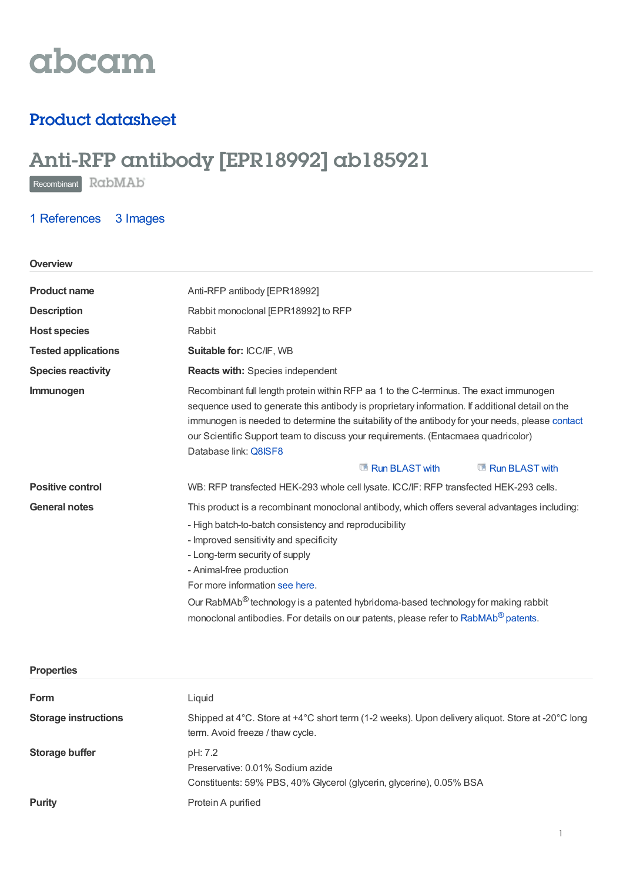# abcam

### Product datasheet

## Anti-RFP antibody [EPR18992] ab185921

Recombinant RabMAb

**Properties**

### 1 [References](https://www.abcam.com/rfp-antibody-epr18992-ab185921.html#description_references) 3 Images

| Overview                   |                                                                                                                                                                                                                                                                                                                                                                                                                                                                                          |  |
|----------------------------|------------------------------------------------------------------------------------------------------------------------------------------------------------------------------------------------------------------------------------------------------------------------------------------------------------------------------------------------------------------------------------------------------------------------------------------------------------------------------------------|--|
| <b>Product name</b>        | Anti-RFP antibody [EPR18992]                                                                                                                                                                                                                                                                                                                                                                                                                                                             |  |
| <b>Description</b>         | Rabbit monoclonal [EPR18992] to RFP                                                                                                                                                                                                                                                                                                                                                                                                                                                      |  |
| <b>Host species</b>        | Rabbit                                                                                                                                                                                                                                                                                                                                                                                                                                                                                   |  |
| <b>Tested applications</b> | Suitable for: ICC/IF, WB                                                                                                                                                                                                                                                                                                                                                                                                                                                                 |  |
| <b>Species reactivity</b>  | <b>Reacts with: Species independent</b>                                                                                                                                                                                                                                                                                                                                                                                                                                                  |  |
| Immunogen                  | Recombinant full length protein within RFP aa 1 to the C-terminus. The exact immunogen<br>sequence used to generate this antibody is proprietary information. If additional detail on the<br>immunogen is needed to determine the suitability of the antibody for your needs, please contact<br>our Scientific Support team to discuss your requirements. (Entacmaea quadricolor)<br>Database link: Q8ISF8<br>Run BLAST with<br>Run BLAST with                                           |  |
| <b>Positive control</b>    | WB: RFP transfected HEK-293 whole cell lysate. ICC/IF: RFP transfected HEK-293 cells.                                                                                                                                                                                                                                                                                                                                                                                                    |  |
| <b>General notes</b>       | This product is a recombinant monoclonal antibody, which offers several advantages including:<br>- High batch-to-batch consistency and reproducibility<br>- Improved sensitivity and specificity<br>- Long-term security of supply<br>- Animal-free production<br>For more information see here.<br>Our RabMAb® technology is a patented hybridoma-based technology for making rabbit<br>monoclonal antibodies. For details on our patents, please refer to RabMAb <sup>®</sup> patents. |  |

| <b>Form</b>                 | Liquid                                                                                                                               |
|-----------------------------|--------------------------------------------------------------------------------------------------------------------------------------|
| <b>Storage instructions</b> | Shipped at 4°C. Store at +4°C short term (1-2 weeks). Upon delivery aliquot. Store at -20°C long<br>term. Avoid freeze / thaw cycle. |
| Storage buffer              | pH: 7.2<br>Preservative: 0.01% Sodium azide<br>Constituents: 59% PBS, 40% Glycerol (glycerin, glycerine), 0.05% BSA                  |
| <b>Purity</b>               | Protein A purified                                                                                                                   |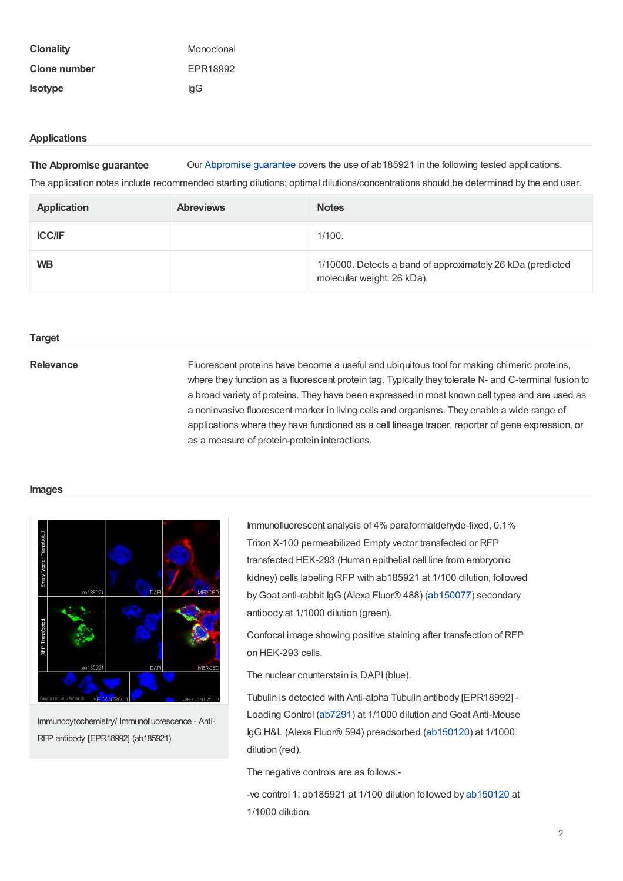| <b>Clonality</b> | Monoclonal |
|------------------|------------|
| Clone number     | EPR18992   |
| <b>Isotype</b>   | lgG        |

#### **Applications**

**The Abpromise guarantee** Our [Abpromise](https://www.abcam.com/abpromise) guarantee covers the use of ab185921 in the following tested applications.

The application notes include recommended starting dilutions; optimal dilutions/concentrations should be determined by the end user.

| <b>Application</b> | <b>Abreviews</b> | <b>Notes</b>                                                                             |
|--------------------|------------------|------------------------------------------------------------------------------------------|
| <b>ICC/IF</b>      |                  | 1/100.                                                                                   |
| <b>WB</b>          |                  | 1/10000. Detects a band of approximately 26 kDa (predicted<br>molecular weight: 26 kDa). |

#### **Target**

Relevance Fluorescent proteins have become a useful and ubiquitous tool for making chimeric proteins, where they function as a fluorescent protein tag. Typically they tolerate N- and C-terminal fusion to a broad variety of proteins. They have been expressed in most known cell types and are used as a noninvasive fluorescent marker in living cells and organisms. They enable a wide range of applications where they have functioned as a cell lineage tracer, reporter of gene expression, or as a measure of protein-protein interactions.

#### **Images**



Immunocytochemistry/ Immunofluorescence - Anti-RFP antibody [EPR18992] (ab185921)

Immunofluorescent analysis of 4% paraformaldehyde-fixed, 0.1% Triton X-100 permeabilized Empty vector transfected or RFP transfected HEK-293 (Human epithelial cell line from embryonic kidney) cells labeling RFP with ab185921 at 1/100 dilution, followed byGoat anti-rabbit IgG (Alexa Fluor® 488) [\(ab150077](https://www.abcam.com/ab150077.html)) secondary antibody at 1/1000 dilution (green).

Confocal image showing positive staining after transfection of RFP on HEK-293 cells.

The nuclear counterstain is DAPI(blue).

Tubulin is detected with Anti-alpha Tubulin antibody [EPR18992] - Loading Control [\(ab7291](https://www.abcam.com/ab7291.html)) at 1/1000 dilution and Goat Anti-Mouse IgG H&L (Alexa Fluor® 594) preadsorbed [\(ab150120](https://www.abcam.com/ab150120.html)) at 1/1000 dilution (red).

The negative controls are as follows:-

-ve control 1: ab185921 at 1/100 dilution followed by [ab150120](https://www.abcam.com/ab150120.html) at 1/1000 dilution.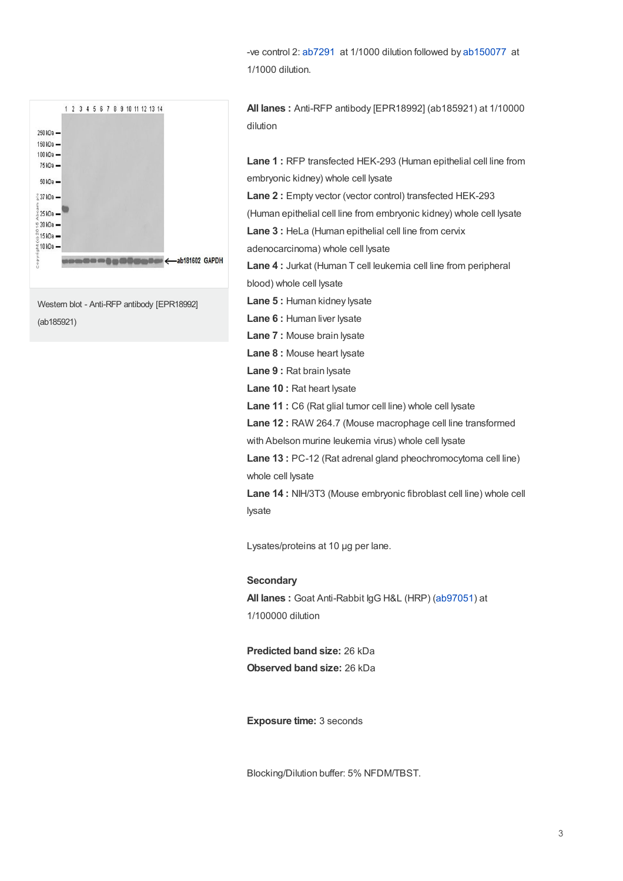-ve control 2: [ab7291](https://www.abcam.com/ab7291.html) at 1/1000 dilution followed by [ab150077](https://www.abcam.com/ab150077.html) at 1/1000 dilution.



Western blot - Anti-RFP antibody [EPR18992] (ab185921)

**All lanes :** Anti-RFP antibody [EPR18992] (ab185921) at 1/10000 dilution

**Lane 1 :** RFP transfected HEK-293 (Human epithelial cell line from embryonic kidney) whole cell lysate **Lane 2 :** Empty vector (vector control) transfected HEK-293 (Human epithelial cell line from embryonic kidney) whole cell lysate **Lane 3 :** HeLa (Human epithelial cell line from cervix adenocarcinoma) whole cell lysate **Lane 4 :** Jurkat (Human T cell leukemia cell line from peripheral blood) whole cell lysate **Lane 5 :** Human kidney lysate **Lane 6 :** Human liver lysate **Lane 7 :** Mouse brain lysate **Lane 8 :** Mouse heart lysate **Lane 9 :** Rat brain lysate

**Lane 10 :** Rat heart lysate

**Lane 11 :** C6 (Rat glial tumor cell line) whole cell lysate

**Lane 12 :** RAW 264.7 (Mouse macrophage cell line transformed

with Abelson murine leukemia virus) whole cell lysate

**Lane 13 :** PC-12 (Rat adrenal gland pheochromocytoma cell line) whole cell lysate

**Lane 14 :** NIH/3T3 (Mouse embryonic fibroblast cell line) whole cell lysate

Lysates/proteins at 10 µg per lane.

**Secondary**

**All lanes :** Goat Anti-Rabbit IgG H&L (HRP) [\(ab97051](https://www.abcam.com/ab97051.html)) at 1/100000 dilution

**Predicted band size:** 26 kDa **Observed band size:** 26 kDa

**Exposure time:** 3 seconds

Blocking/Dilution buffer: 5% NFDM/TBST.